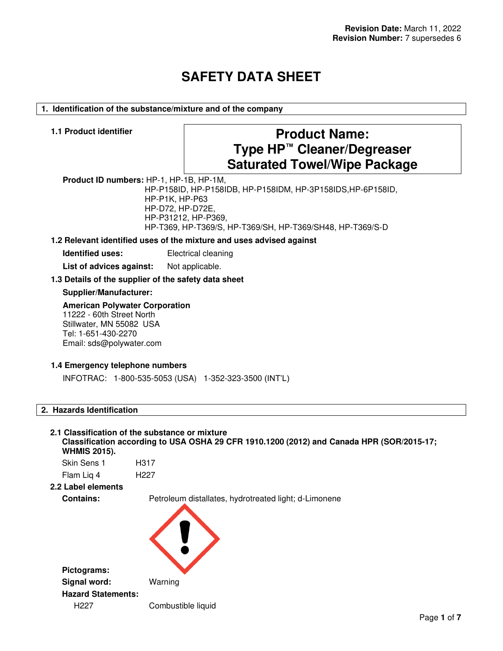# **SAFETY DATA SHEET**

# **1. Identification of the substance/mixture and of the company**

# **1.1 Product identifier Product Name: Type HP™ Cleaner/Degreaser Saturated Towel/Wipe Package**

**Product ID numbers:** HP-1, HP-1B, HP-1M,

HP-P158ID, HP-P158IDB, HP-P158IDM, HP-3P158IDS,HP-6P158ID, HP-P1K, HP-P63 HP-D72, HP-D72E, HP-P31212, HP-P369, HP-T369, HP-T369/S, HP-T369/SH, HP-T369/SH48, HP-T369/S-D

# **1.2 Relevant identified uses of the mixture and uses advised against**

**Identified uses:** Electrical cleaning

List of advices against: Not applicable.

# **1.3 Details of the supplier of the safety data sheet**

# **Supplier/Manufacturer:**

#### **American Polywater Corporation**

11222 - 60th Street North Stillwater, MN 55082 USA Tel: 1-651-430-2270 Email: sds@polywater.com

# **1.4 Emergency telephone numbers**

INFOTRAC: 1-800-535-5053 (USA) 1-352-323-3500 (INT'L)

# **2. Hazards Identification**

#### **2.1 Classification of the substance or mixture Classification according to USA OSHA 29 CFR 1910.1200 (2012) and Canada HPR (SOR/2015-17; WHMIS 2015).**

Skin Sens 1 H317 Flam Liq 4 H227

# **2.2 Label elements**

**Contains:** Petroleum distallates, hydrotreated light; d-Limonene

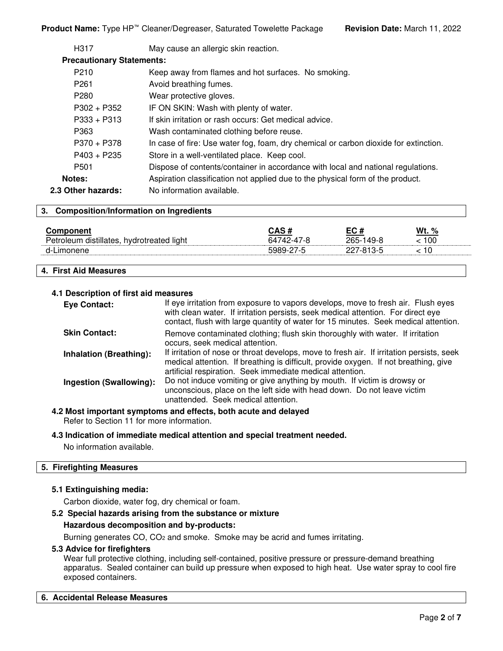| H317                             | May cause an allergic skin reaction.                                                 |
|----------------------------------|--------------------------------------------------------------------------------------|
| <b>Precautionary Statements:</b> |                                                                                      |
| P <sub>210</sub>                 | Keep away from flames and hot surfaces. No smoking.                                  |
| P <sub>261</sub>                 | Avoid breathing fumes.                                                               |
| P <sub>280</sub>                 | Wear protective gloves.                                                              |
| $P302 + P352$                    | IF ON SKIN: Wash with plenty of water.                                               |
| $P333 + P313$                    | If skin irritation or rash occurs: Get medical advice.                               |
| P363                             | Wash contaminated clothing before reuse.                                             |
| $P370 + P378$                    | In case of fire: Use water fog, foam, dry chemical or carbon dioxide for extinction. |
| $P403 + P235$                    | Store in a well-ventilated place. Keep cool.                                         |
| P <sub>501</sub>                 | Dispose of contents/container in accordance with local and national regulations.     |
| Notes:                           | Aspiration classification not applied due to the physical form of the product.       |
| 2.3 Other hazards:               | No information available.                                                            |
|                                  |                                                                                      |

# **3. Composition/Information on Ingredients**

| Comnonent<br>distillates.<br>Peuc<br>hvdrotreated<br>d light<br>nleum ،<br>1.1.1.1 | CAS #<br>64742-47-8 | EC #<br>265-1<br>149-8 | Wt.<br>%<br>100 |  |
|------------------------------------------------------------------------------------|---------------------|------------------------|-----------------|--|
| $A-I$                                                                              | . . <del>. .</del>  |                        | 10              |  |

# **4. First Aid Measures**

# **4.1 Description of first aid measures**

| <b>Eye Contact:</b>            | If eye irritation from exposure to vapors develops, move to fresh air. Flush eyes<br>with clean water. If irritation persists, seek medical attention. For direct eye<br>contact, flush with large quantity of water for 15 minutes. Seek medical attention. |
|--------------------------------|--------------------------------------------------------------------------------------------------------------------------------------------------------------------------------------------------------------------------------------------------------------|
| <b>Skin Contact:</b>           | Remove contaminated clothing; flush skin thoroughly with water. If irritation<br>occurs, seek medical attention.                                                                                                                                             |
| <b>Inhalation (Breathing):</b> | If irritation of nose or throat develops, move to fresh air. If irritation persists, seek<br>medical attention. If breathing is difficult, provide oxygen. If not breathing, give<br>artificial respiration. Seek immediate medical attention.               |
| Ingestion (Swallowing):        | Do not induce vomiting or give anything by mouth. If victim is drowsy or<br>unconscious, place on the left side with head down. Do not leave victim<br>unattended. Seek medical attention.                                                                   |

**4.2 Most important symptoms and effects, both acute and delayed** Refer to Section 11 for more information.

# **4.3 Indication of immediate medical attention and special treatment needed.**

No information available.

# **5. Firefighting Measures**

#### **5.1 Extinguishing media:**

Carbon dioxide, water fog, dry chemical or foam.

# **5.2 Special hazards arising from the substance or mixture**

#### **Hazardous decomposition and by-products:**

Burning generates CO, CO<sub>2</sub> and smoke. Smoke may be acrid and fumes irritating.

#### **5.3 Advice for firefighters**

Wear full protective clothing, including self-contained, positive pressure or pressure-demand breathing apparatus. Sealed container can build up pressure when exposed to high heat. Use water spray to cool fire exposed containers.

# **6. Accidental Release Measures**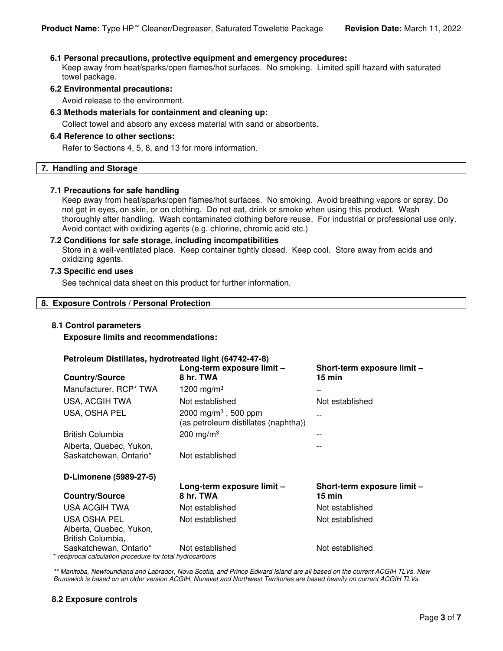# **6.1 Personal precautions, protective equipment and emergency procedures:**

Keep away from heat/sparks/open flames/hot surfaces. No smoking. Limited spill hazard with saturated towel package.

#### **6.2 Environmental precautions:**

Avoid release to the environment.

# **6.3 Methods materials for containment and cleaning up:**

Collect towel and absorb any excess material with sand or absorbents.

#### **6.4 Reference to other sections:**

Refer to Sections 4, 5, 8, and 13 for more information.

#### **7. Handling and Storage**

#### **7.1 Precautions for safe handling**

Keep away from heat/sparks/open flames/hot surfaces. No smoking. Avoid breathing vapors or spray. Do not get in eyes, on skin, or on clothing. Do not eat, drink or smoke when using this product. Wash thoroughly after handling. Wash contaminated clothing before reuse. For industrial or professional use only. Avoid contact with oxidizing agents (e.g. chlorine, chromic acid etc.)

#### **7.2 Conditions for safe storage, including incompatibilities**

Store in a well-ventilated place. Keep container tightly closed. Keep cool. Store away from acids and oxidizing agents.

# **7.3 Specific end uses**

See technical data sheet on this product for further information.

# **8. Exposure Controls / Personal Protection**

#### **8.1 Control parameters**

**Exposure limits and recommendations:** 

#### **Petroleum Distillates, hydrotreated light (64742-47-8)**

| <b>Country/Source</b>                                                               | Long-term exposure limit -<br>8 hr. TWA                                  | Short-term exposure limit -<br>$15 \text{ min}$ |
|-------------------------------------------------------------------------------------|--------------------------------------------------------------------------|-------------------------------------------------|
| Manufacturer, RCP* TWA                                                              | 1200 mg/m <sup>3</sup>                                                   |                                                 |
| USA, ACGIH TWA                                                                      | Not established                                                          | Not established                                 |
| USA, OSHA PEL                                                                       | 2000 mg/m <sup>3</sup> , 500 ppm<br>(as petroleum distillates (naphtha)) |                                                 |
| <b>British Columbia</b>                                                             | 200 mg/m <sup>3</sup>                                                    |                                                 |
| Alberta, Quebec, Yukon,<br>Saskatchewan, Ontario*                                   | Not established                                                          |                                                 |
| D-Limonene (5989-27-5)                                                              |                                                                          |                                                 |
| <b>Country/Source</b>                                                               | Long-term exposure limit -<br>8 hr. TWA                                  | Short-term exposure limit -<br>$15 \text{ min}$ |
| USA ACGIH TWA                                                                       | Not established                                                          | Not established                                 |
| USA OSHA PEL<br>Alberta, Quebec, Yukon,<br>British Columbia,                        | Not established                                                          | Not established                                 |
| Saskatchewan, Ontario*<br>* reciprocal calculation procedure for total hydrocarbons | Not established                                                          | Not established                                 |

\*\* Manitoba, Newfoundland and Labrador, Nova Scotia, and Prince Edward Island are all based on the current ACGIH TLVs. New Brunswick is based on an older version ACGIH. Nunavet and Northwest Territories are based heavily on current ACGIH TLVs.

# **8.2 Exposure controls**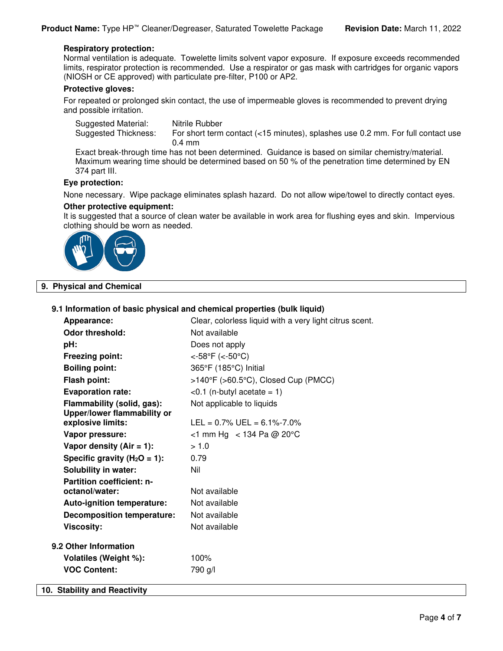# **Respiratory protection:**

Normal ventilation is adequate. Towelette limits solvent vapor exposure. If exposure exceeds recommended limits, respirator protection is recommended. Use a respirator or gas mask with cartridges for organic vapors (NIOSH or CE approved) with particulate pre-filter, P100 or AP2.

#### **Protective gloves:**

For repeated or prolonged skin contact, the use of impermeable gloves is recommended to prevent drying and possible irritation.

| Suggested Material:  | Nitrile Rubber                                                                  |
|----------------------|---------------------------------------------------------------------------------|
| Suggested Thickness: | For short term contact (<15 minutes), splashes use 0.2 mm. For full contact use |
|                      | $0.4 \text{ mm}$                                                                |

Exact break-through time has not been determined. Guidance is based on similar chemistry/material. Maximum wearing time should be determined based on 50 % of the penetration time determined by EN 374 part III.

# **Eye protection:**

None necessary. Wipe package eliminates splash hazard. Do not allow wipe/towel to directly contact eyes.

# **Other protective equipment:**

It is suggested that a source of clean water be available in work area for flushing eyes and skin. Impervious clothing should be worn as needed.



# **9. Physical and Chemical**

# **9.1 Information of basic physical and chemical properties (bulk liquid)**

| Appearance:                        | Clear, colorless liquid with a very light citrus scent. |
|------------------------------------|---------------------------------------------------------|
| <b>Odor threshold:</b>             | Not available                                           |
| pH:                                | Does not apply                                          |
| <b>Freezing point:</b>             | <-58°F (<-50°C)                                         |
| <b>Boiling point:</b>              | 365°F (185°C) Initial                                   |
| <b>Flash point:</b>                | >140°F (>60.5°C), Closed Cup (PMCC)                     |
| <b>Evaporation rate:</b>           | $< 0.1$ (n-butyl acetate = 1)                           |
| Flammability (solid, gas):         | Not applicable to liquids                               |
| <b>Upper/lower flammability or</b> |                                                         |
| explosive limits:                  | $LEL = 0.7\%$ UEL = 6.1%-7.0%                           |
| Vapor pressure:                    | <1 mm Hg < 134 Pa @ 20 °C                               |
| Vapor density (Air = $1$ ):        | > 1.0                                                   |
| Specific gravity ( $H_2O = 1$ ):   | 0.79                                                    |
| <b>Solubility in water:</b>        | Nil                                                     |
| <b>Partition coefficient: n-</b>   |                                                         |
| octanol/water:                     | Not available                                           |
| Auto-ignition temperature:         | Not available                                           |
| <b>Decomposition temperature:</b>  | Not available                                           |
| <b>Viscosity:</b>                  | Not available                                           |
| 9.2 Other Information              |                                                         |
| Volatiles (Weight %):              | 100%                                                    |
| <b>VOC Content:</b>                | 790 g/l                                                 |
| 10. Stability and Reactivity       |                                                         |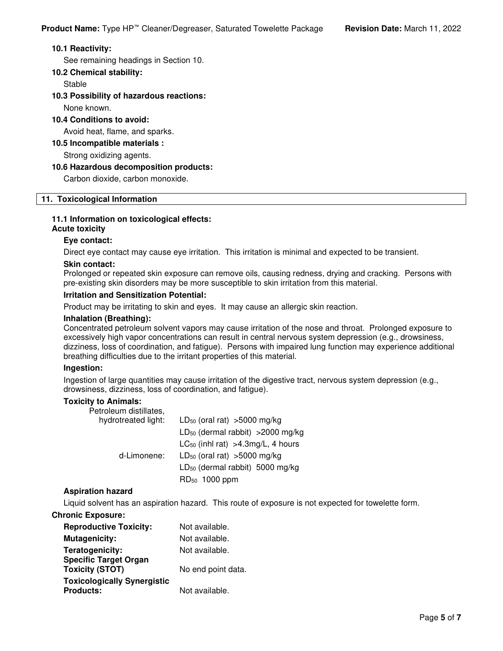# **10.1 Reactivity:**

See remaining headings in Section 10.

# **10.2 Chemical stability:**

Stable

# **10.3 Possibility of hazardous reactions:**

None known.

# **10.4 Conditions to avoid:**

Avoid heat, flame, and sparks.

# **10.5 Incompatible materials :**

Strong oxidizing agents.

# **10.6 Hazardous decomposition products:**

Carbon dioxide, carbon monoxide.

# **11. Toxicological Information**

# **11.1 Information on toxicological effects:**

# **Acute toxicity**

# **Eye contact:**

Direct eye contact may cause eye irritation. This irritation is minimal and expected to be transient.

# **Skin contact:**

Prolonged or repeated skin exposure can remove oils, causing redness, drying and cracking. Persons with pre-existing skin disorders may be more susceptible to skin irritation from this material.

# **Irritation and Sensitization Potential:**

Product may be irritating to skin and eyes. It may cause an allergic skin reaction.

# **Inhalation (Breathing):**

Concentrated petroleum solvent vapors may cause irritation of the nose and throat. Prolonged exposure to excessively high vapor concentrations can result in central nervous system depression (e.g., drowsiness, dizziness, loss of coordination, and fatigue). Persons with impaired lung function may experience additional breathing difficulties due to the irritant properties of this material.

# **Ingestion:**

Ingestion of large quantities may cause irritation of the digestive tract, nervous system depression (e.g., drowsiness, dizziness, loss of coordination, and fatigue).

# **Toxicity to Animals:**

| Petroleum distillates, |                                               |
|------------------------|-----------------------------------------------|
| hydrotreated light:    | $LD_{50}$ (oral rat) >5000 mg/kg              |
|                        | LD <sub>50</sub> (dermal rabbit) > 2000 mg/kg |
|                        | $LC_{50}$ (inhl rat) > 4.3 mg/L, 4 hours      |
| d-Limonene:            | $LD_{50}$ (oral rat) >5000 mg/kg              |
|                        | $LD_{50}$ (dermal rabbit) 5000 mg/kg          |
|                        | RD <sub>50</sub> 1000 ppm                     |

# **Aspiration hazard**

Liquid solvent has an aspiration hazard. This route of exposure is not expected for towelette form.

# **Chronic Exposure:**

| <b>Reproductive Toxicity:</b>                          | Not available.     |
|--------------------------------------------------------|--------------------|
| <b>Mutagenicity:</b>                                   | Not available.     |
| Teratogenicity:                                        | Not available.     |
| <b>Specific Target Organ</b><br><b>Toxicity (STOT)</b> | No end point data. |
| <b>Toxicologically Synergistic</b><br><b>Products:</b> | Not available.     |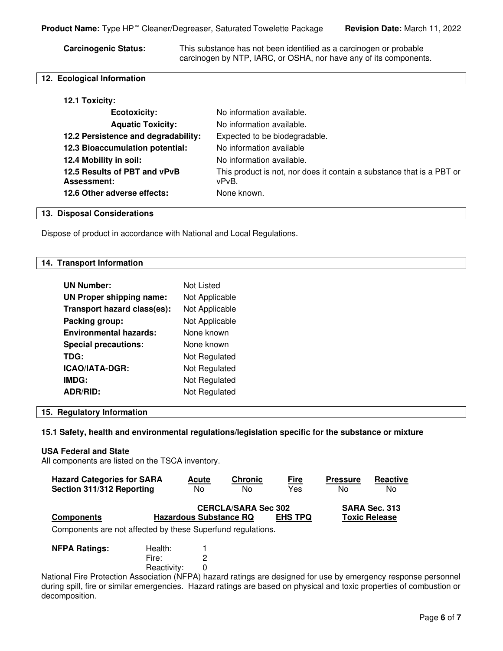**Carcinogenic Status:** This substance has not been identified as a carcinogen or probable carcinogen by NTP, IARC, or OSHA, nor have any of its components.

# **12. Ecological Information**

| <b>Ecotoxicity:</b>                                | No information available.                                                      |
|----------------------------------------------------|--------------------------------------------------------------------------------|
| <b>Aquatic Toxicity:</b>                           | No information available.                                                      |
| 12.2 Persistence and degradability:                | Expected to be biodegradable.                                                  |
| 12.3 Bioaccumulation potential:                    | No information available                                                       |
| 12.4 Mobility in soil:                             | No information available.                                                      |
| 12.5 Results of PBT and vPvB<br><b>Assessment:</b> | This product is not, nor does it contain a substance that is a PBT or<br>vPvB. |
| 12.6 Other adverse effects:                        | None known.                                                                    |

# **13. Disposal Considerations**

Dispose of product in accordance with National and Local Regulations.

#### **14. Transport Information**

| <b>UN Number:</b>               | Not Listed     |
|---------------------------------|----------------|
| <b>UN Proper shipping name:</b> | Not Applicable |
| Transport hazard class(es):     | Not Applicable |
| Packing group:                  | Not Applicable |
| <b>Environmental hazards:</b>   | None known     |
| <b>Special precautions:</b>     | None known     |
| TDG:                            | Not Regulated  |
| ICAO/IATA-DGR:                  | Not Regulated  |
| IMDG:                           | Not Regulated  |
| <b>ADR/RID:</b>                 | Not Regulated  |

# **15. Regulatory Information**

**15.1 Safety, health and environmental regulations/legislation specific for the substance or mixture** 

#### **USA Federal and State**

All components are listed on the TSCA inventory.

| <b>Hazard Categories for SARA</b>                           | <b>Acute</b>                  | <b>Chronic</b>             | <b>Fire</b>    | <b>Pressure</b> | Reactive             |
|-------------------------------------------------------------|-------------------------------|----------------------------|----------------|-----------------|----------------------|
| Section 311/312 Reporting                                   | N <sub>0</sub>                | No                         | Yes            | No              | No.                  |
|                                                             |                               | <b>CERCLA/SARA Sec 302</b> |                |                 | SARA Sec. 313        |
| <b>Components</b>                                           | <b>Hazardous Substance RQ</b> |                            | <b>EHS TPQ</b> |                 | <b>Toxic Release</b> |
| Components are not affected by these Superfund regulations. |                               |                            |                |                 |                      |

| <b>NFPA Ratings:</b> | Health:     |  |
|----------------------|-------------|--|
|                      | Fire:       |  |
|                      | Reactivity: |  |

National Fire Protection Association (NFPA) hazard ratings are designed for use by emergency response personnel during spill, fire or similar emergencies. Hazard ratings are based on physical and toxic properties of combustion or decomposition.